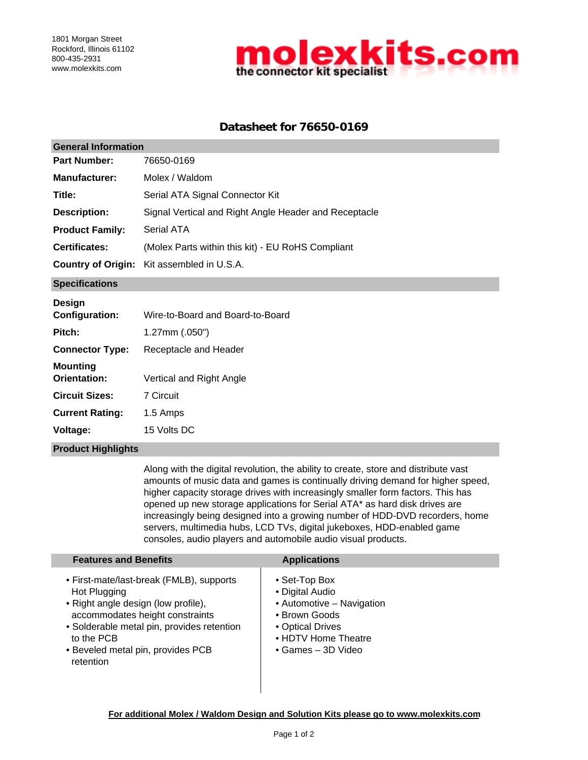

# **Datasheet for 76650-0169**

| <b>General Information</b>         |                                                       |  |  |  |
|------------------------------------|-------------------------------------------------------|--|--|--|
| <b>Part Number:</b>                | 76650-0169                                            |  |  |  |
| <b>Manufacturer:</b>               | Molex / Waldom                                        |  |  |  |
| Title:                             | Serial ATA Signal Connector Kit                       |  |  |  |
| <b>Description:</b>                | Signal Vertical and Right Angle Header and Receptacle |  |  |  |
| <b>Product Family:</b>             | Serial ATA                                            |  |  |  |
| <b>Certificates:</b>               | (Molex Parts within this kit) - EU RoHS Compliant     |  |  |  |
| <b>Country of Origin:</b>          | Kit assembled in U.S.A.                               |  |  |  |
| <b>Specifications</b>              |                                                       |  |  |  |
| Design<br>Configuration:<br>Pitch: | Wire-to-Board and Board-to-Board<br>1.27mm (.050")    |  |  |  |
| <b>Connector Type:</b>             | Receptacle and Header                                 |  |  |  |
| <b>Mounting</b><br>Orientation:    | Vertical and Right Angle                              |  |  |  |
| <b>Circuit Sizes:</b>              | 7 Circuit                                             |  |  |  |
| <b>Current Rating:</b>             | 1.5 Amps                                              |  |  |  |
| Voltage:                           | 15 Volts DC                                           |  |  |  |

#### **Product Highlights**

Along with the digital revolution, the ability to create, store and distribute vast amounts of music data and games is continually driving demand for higher speed, higher capacity storage drives with increasingly smaller form factors. This has opened up new storage applications for Serial ATA\* as hard disk drives are increasingly being designed into a growing number of HDD-DVD recorders, home servers, multimedia hubs, LCD TVs, digital jukeboxes, HDD-enabled game consoles, audio players and automobile audio visual products.

| <b>Features and Benefits</b>                                                                                                                                                                                                                     | <b>Applications</b>                                                                                                                                       |
|--------------------------------------------------------------------------------------------------------------------------------------------------------------------------------------------------------------------------------------------------|-----------------------------------------------------------------------------------------------------------------------------------------------------------|
| • First-mate/last-break (FMLB), supports<br>Hot Plugging<br>• Right angle design (low profile),<br>accommodates height constraints<br>• Solderable metal pin, provides retention<br>to the PCB<br>• Beveled metal pin, provides PCB<br>retention | • Set-Top Box<br>• Digital Audio<br>• Automotive – Navigation<br>• Brown Goods<br>• Optical Drives<br>• HDTV Home Theatre<br>$\bullet$ Games $-$ 3D Video |